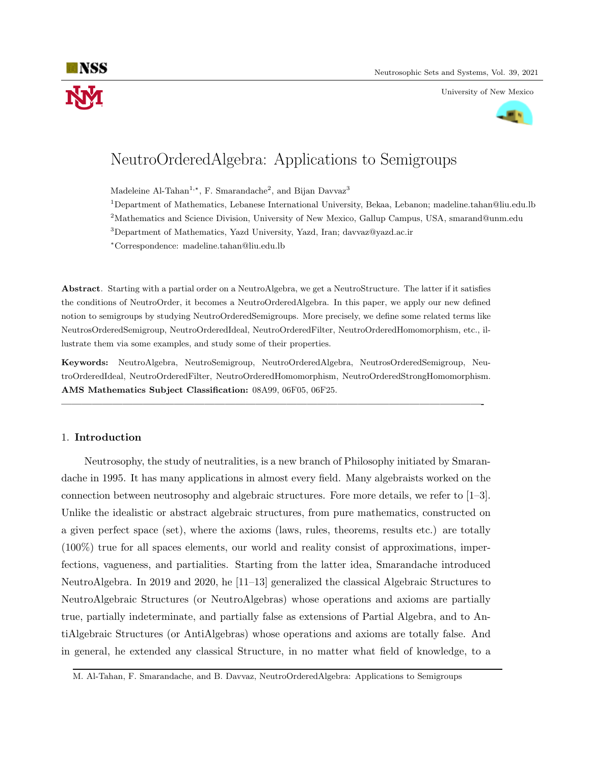



# NeutroOrderedAlgebra: Applications to Semigroups

Madeleine Al-Tahan<sup>1,\*</sup>, F. Smarandache<sup>2</sup>, and Bijan Davvaz<sup>3</sup>

<sup>1</sup>Department of Mathematics, Lebanese International University, Bekaa, Lebanon; madeline.tahan@liu.edu.lb

<sup>2</sup>Mathematics and Science Division, University of New Mexico, Gallup Campus, USA, smarand@unm.edu

<sup>3</sup>Department of Mathematics, Yazd University, Yazd, Iran; davvaz@yazd.ac.ir

<sup>∗</sup>Correspondence: madeline.tahan@liu.edu.lb

Abstract. Starting with a partial order on a NeutroAlgebra, we get a NeutroStructure. The latter if it satisfies the conditions of NeutroOrder, it becomes a NeutroOrderedAlgebra. In this paper, we apply our new defined notion to semigroups by studying NeutroOrderedSemigroups. More precisely, we define some related terms like NeutrosOrderedSemigroup, NeutroOrderedIdeal, NeutroOrderedFilter, NeutroOrderedHomomorphism, etc., illustrate them via some examples, and study some of their properties.

Keywords: NeutroAlgebra, NeutroSemigroup, NeutroOrderedAlgebra, NeutrosOrderedSemigroup, NeutroOrderedIdeal, NeutroOrderedFilter, NeutroOrderedHomomorphism, NeutroOrderedStrongHomomorphism. AMS Mathematics Subject Classification: 08A99, 06F05, 06F25.

—————————————————————————————————————————-

## 1. Introduction

Neutrosophy, the study of neutralities, is a new branch of Philosophy initiated by Smarandache in 1995. It has many applications in almost every field. Many algebraists worked on the connection between neutrosophy and algebraic structures. Fore more details, we refer to  $[1-3]$ . Unlike the idealistic or abstract algebraic structures, from pure mathematics, constructed on a given perfect space (set), where the axioms (laws, rules, theorems, results etc.) are totally (100%) true for all spaces elements, our world and reality consist of approximations, imperfections, vagueness, and partialities. Starting from the latter idea, Smarandache introduced NeutroAlgebra. In 2019 and 2020, he [11–13] generalized the classical Algebraic Structures to NeutroAlgebraic Structures (or NeutroAlgebras) whose operations and axioms are partially true, partially indeterminate, and partially false as extensions of Partial Algebra, and to AntiAlgebraic Structures (or AntiAlgebras) whose operations and axioms are totally false. And in general, he extended any classical Structure, in no matter what field of knowledge, to a

M. Al-Tahan, F. Smarandache, and B. Davvaz, NeutroOrderedAlgebra: Applications to Semigroups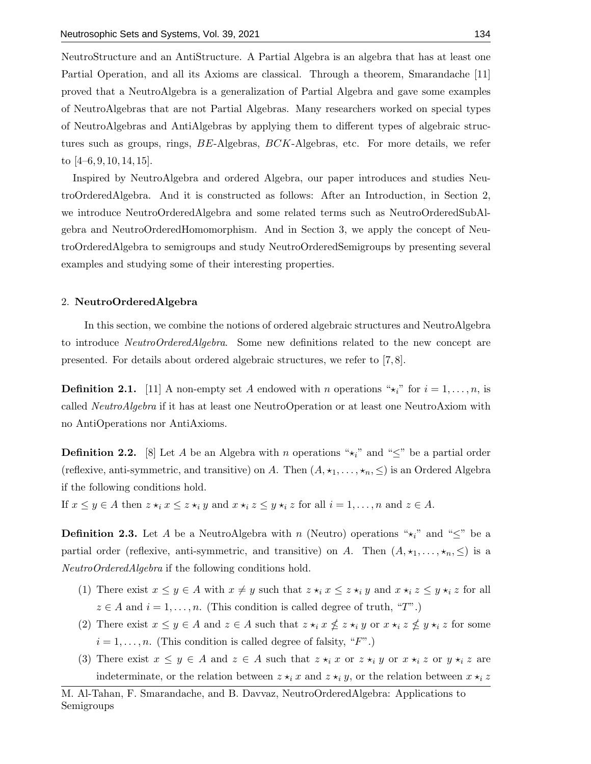NeutroStructure and an AntiStructure. A Partial Algebra is an algebra that has at least one Partial Operation, and all its Axioms are classical. Through a theorem, Smarandache [11] proved that a NeutroAlgebra is a generalization of Partial Algebra and gave some examples of NeutroAlgebras that are not Partial Algebras. Many researchers worked on special types of NeutroAlgebras and AntiAlgebras by applying them to different types of algebraic structures such as groups, rings, BE-Algebras, BCK-Algebras, etc. For more details, we refer to  $[4–6, 9, 10, 14, 15]$ .

Inspired by NeutroAlgebra and ordered Algebra, our paper introduces and studies NeutroOrderedAlgebra. And it is constructed as follows: After an Introduction, in Section 2, we introduce NeutroOrderedAlgebra and some related terms such as NeutroOrderedSubAlgebra and NeutroOrderedHomomorphism. And in Section 3, we apply the concept of NeutroOrderedAlgebra to semigroups and study NeutroOrderedSemigroups by presenting several examples and studying some of their interesting properties.

#### 2. NeutroOrderedAlgebra

In this section, we combine the notions of ordered algebraic structures and NeutroAlgebra to introduce NeutroOrderedAlgebra. Some new definitions related to the new concept are presented. For details about ordered algebraic structures, we refer to [7, 8].

**Definition 2.1.** [11] A non-empty set A endowed with n operations " $\star_i$ " for  $i = 1, \ldots, n$ , is called NeutroAlgebra if it has at least one NeutroOperation or at least one NeutroAxiom with no AntiOperations nor AntiAxioms.

**Definition 2.2.** [8] Let A be an Algebra with n operations " $\star_i$ " and " $\leq$ " be a partial order (reflexive, anti-symmetric, and transitive) on A. Then  $(A, \star_1, \ldots, \star_n, \leq)$  is an Ordered Algebra if the following conditions hold.

If  $x \leq y \in A$  then  $z \star_i x \leq z \star_i y$  and  $x \star_i z \leq y \star_i z$  for all  $i = 1, \ldots, n$  and  $z \in A$ .

**Definition 2.3.** Let A be a NeutroAlgebra with n (Neutro) operations " $\star_i$ " and " $\leq$ " be a partial order (reflexive, anti-symmetric, and transitive) on A. Then  $(A, \star_1, \ldots, \star_n, \leq)$  is a NeutroOrderedAlgebra if the following conditions hold.

- (1) There exist  $x \leq y \in A$  with  $x \neq y$  such that  $z \star_i x \leq z \star_i y$  and  $x \star_i z \leq y \star_i z$  for all  $z \in A$  and  $i = 1, \ldots, n$ . (This condition is called degree of truth, "T".)
- (2) There exist  $x \leq y \in A$  and  $z \in A$  such that  $z \star_i x \nleq z \star_i y$  or  $x \star_i z \nleq y \star_i z$  for some  $i = 1, \ldots, n$ . (This condition is called degree of falsity, "F".)
- (3) There exist  $x \leq y \in A$  and  $z \in A$  such that  $z \star_i x$  or  $z \star_i y$  or  $x \star_i z$  or  $y \star_i z$  are indeterminate, or the relation between  $z \star_i x$  and  $z \star_i y$ , or the relation between  $x \star_i z$

M. Al-Tahan, F. Smarandache, and B. Davvaz, NeutroOrderedAlgebra: Applications to Semigroups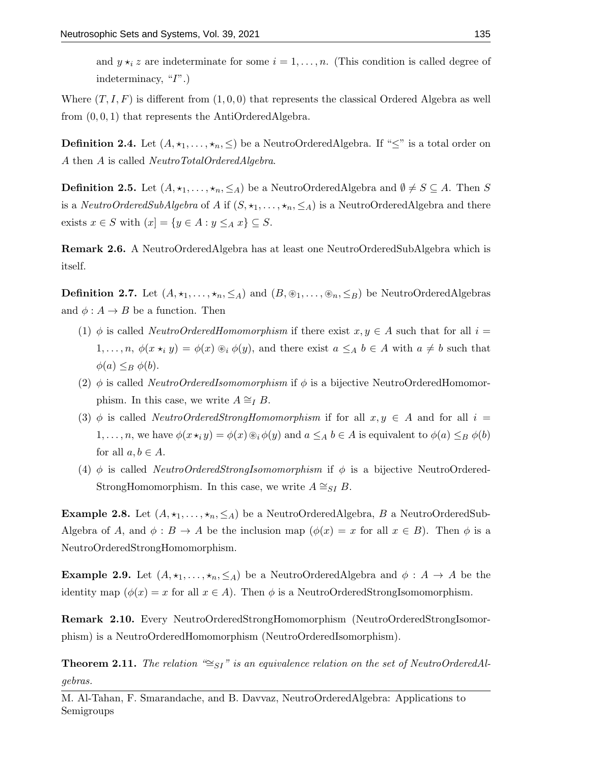and  $y \star_i z$  are indeterminate for some  $i = 1, \ldots, n$ . (This condition is called degree of indeterminacy, "I".)

Where  $(T, I, F)$  is different from  $(1, 0, 0)$  that represents the classical Ordered Algebra as well from (0, 0, 1) that represents the AntiOrderedAlgebra.

**Definition 2.4.** Let  $(A, \star_1, \ldots, \star_n, \leq)$  be a NeutroOrderedAlgebra. If " $\leq$ " is a total order on A then A is called NeutroTotalOrderedAlgebra.

**Definition 2.5.** Let  $(A, \star_1, \ldots, \star_n, \leq_A)$  be a NeutroOrderedAlgebra and  $\emptyset \neq S \subseteq A$ . Then S is a *NeutroOrderedSubAlgebra* of A if  $(S, \star_1, \ldots, \star_n, \leq_A)$  is a NeutroOrderedAlgebra and there exists  $x \in S$  with  $(x) = \{y \in A : y \leq_A x\} \subseteq S$ .

Remark 2.6. A NeutroOrderedAlgebra has at least one NeutroOrderedSubAlgebra which is itself.

**Definition 2.7.** Let  $(A, \star_1, \ldots, \star_n, \leq_A)$  and  $(B, \otimes_1, \ldots, \otimes_n, \leq_B)$  be NeutroOrderedAlgebras and  $\phi: A \to B$  be a function. Then

- (1)  $\phi$  is called *NeutroOrderedHomomorphism* if there exist  $x, y \in A$  such that for all  $i =$  $1, \ldots, n, \, \phi(x \star_i y) = \phi(x) \circledast_i \phi(y)$ , and there exist  $a \leq_A b \in A$  with  $a \neq b$  such that  $\phi(a) \leq_B \phi(b).$
- (2)  $\phi$  is called *NeutroOrderedIsomomorphism* if  $\phi$  is a bijective NeutroOrderedHomomorphism. In this case, we write  $A \cong_I B$ .
- (3)  $\phi$  is called *NeutroOrderedStrongHomomorphism* if for all  $x, y \in A$  and for all  $i =$  $1, \ldots, n$ , we have  $\phi(x \star_i y) = \phi(x) \circledast_i \phi(y)$  and  $a \leq_A b \in A$  is equivalent to  $\phi(a) \leq_B \phi(b)$ for all  $a, b \in A$ .
- (4)  $\phi$  is called *NeutroOrderedStrongIsomomorphism* if  $\phi$  is a bijective NeutroOrdered-StrongHomomorphism. In this case, we write  $A \cong_{SI} B$ .

**Example 2.8.** Let  $(A, \star_1, \ldots, \star_n, \leq_A)$  be a NeutroOrderedAlgebra, B a NeutroOrderedSub-Algebra of A, and  $\phi : B \to A$  be the inclusion map  $(\phi(x) = x$  for all  $x \in B)$ . Then  $\phi$  is a NeutroOrderedStrongHomomorphism.

**Example 2.9.** Let  $(A, \star_1, \ldots, \star_n, \leq_A)$  be a NeutroOrderedAlgebra and  $\phi : A \rightarrow A$  be the identity map  $(\phi(x) = x$  for all  $x \in A)$ . Then  $\phi$  is a NeutroOrderedStrongIsomomorphism.

Remark 2.10. Every NeutroOrderedStrongHomomorphism (NeutroOrderedStrongIsomorphism) is a NeutroOrderedHomomorphism (NeutroOrderedIsomorphism).

**Theorem 2.11.** The relation "≅ $_{SI}$ " is an equivalence relation on the set of NeutroOrderedAlgebras.

M. Al-Tahan, F. Smarandache, and B. Davvaz, NeutroOrderedAlgebra: Applications to Semigroups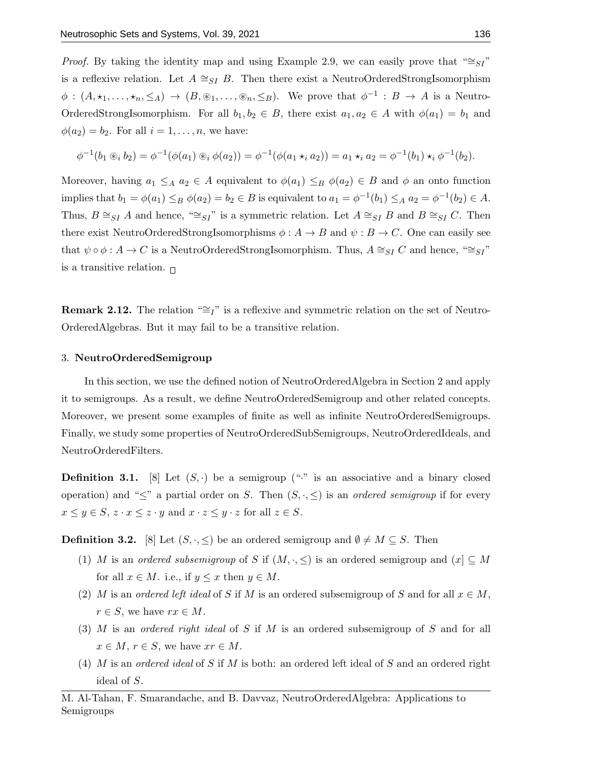*Proof.* By taking the identity map and using Example 2.9, we can easily prove that " $\cong$ SI" is a reflexive relation. Let  $A \cong_{SI} B$ . Then there exist a NeutroOrderedStrongIsomorphism  $\phi : (A, \star_1, \ldots, \star_n, \leq_A) \to (B, \circledast_1, \ldots, \circledast_n, \leq_B)$ . We prove that  $\phi^{-1} : B \to A$  is a Neutro-OrderedStrongIsomorphism. For all  $b_1, b_2 \in B$ , there exist  $a_1, a_2 \in A$  with  $\phi(a_1) = b_1$  and  $\phi(a_2) = b_2$ . For all  $i = 1, \ldots, n$ , we have:

$$
\phi^{-1}(b_1 \circledast_i b_2) = \phi^{-1}(\phi(a_1) \circledast_i \phi(a_2)) = \phi^{-1}(\phi(a_1 \star_i a_2)) = a_1 \star_i a_2 = \phi^{-1}(b_1) \star_i \phi^{-1}(b_2).
$$

Moreover, having  $a_1 \leq_A a_2 \in A$  equivalent to  $\phi(a_1) \leq_B \phi(a_2) \in B$  and  $\phi$  an onto function implies that  $b_1 = \phi(a_1) \leq_B \phi(a_2) = b_2 \in B$  is equivalent to  $a_1 = \phi^{-1}(b_1) \leq_A a_2 = \phi^{-1}(b_2) \in A$ . Thus,  $B \cong_{SI} A$  and hence, " $\cong_{SI}$ " is a symmetric relation. Let  $A \cong_{SI} B$  and  $B \cong_{SI} C$ . Then there exist NeutroOrderedStrongIsomorphisms  $\phi: A \to B$  and  $\psi: B \to C$ . One can easily see that  $\psi \circ \phi : A \to C$  is a NeutroOrderedStrongIsomorphism. Thus,  $A \cong_{SI} C$  and hence, " $\cong_{SI}$ " is a transitive relation.  $\Box$ 

**Remark 2.12.** The relation "≅I" is a reflexive and symmetric relation on the set of Neutro-OrderedAlgebras. But it may fail to be a transitive relation.

#### 3. NeutroOrderedSemigroup

In this section, we use the defined notion of NeutroOrderedAlgebra in Section 2 and apply it to semigroups. As a result, we define NeutroOrderedSemigroup and other related concepts. Moreover, we present some examples of finite as well as infinite NeutroOrderedSemigroups. Finally, we study some properties of NeutroOrderedSubSemigroups, NeutroOrderedIdeals, and NeutroOrderedFilters.

**Definition 3.1.** [8] Let  $(S, \cdot)$  be a semigroup ("." is an associative and a binary closed operation) and " $\leq$ " a partial order on S. Then  $(S, \cdot, \leq)$  is an *ordered semigroup* if for every  $x \leq y \in S$ ,  $z \cdot x \leq z \cdot y$  and  $x \cdot z \leq y \cdot z$  for all  $z \in S$ .

**Definition 3.2.** [8] Let  $(S, \cdot, \leq)$  be an ordered semigroup and  $\emptyset \neq M \subseteq S$ . Then

- (1) M is an ordered subsemigroup of S if  $(M, \cdot, \leq)$  is an ordered semigroup and  $(x) \subseteq M$ for all  $x \in M$ . i.e., if  $y \leq x$  then  $y \in M$ .
- (2) M is an ordered left ideal of S if M is an ordered subsemigroup of S and for all  $x \in M$ ,  $r \in S$ , we have  $rx \in M$ .
- (3) M is an ordered right ideal of S if M is an ordered subsemigroup of S and for all  $x \in M$ ,  $r \in S$ , we have  $xr \in M$ .
- (4) M is an ordered ideal of S if M is both: an ordered left ideal of S and an ordered right ideal of S.

M. Al-Tahan, F. Smarandache, and B. Davvaz, NeutroOrderedAlgebra: Applications to Semigroups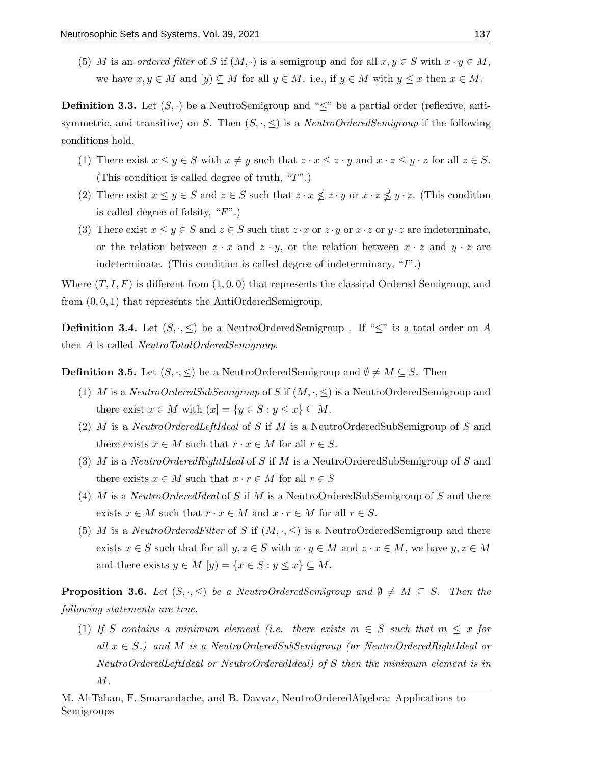(5) M is an ordered filter of S if  $(M, \cdot)$  is a semigroup and for all  $x, y \in S$  with  $x \cdot y \in M$ , we have  $x, y \in M$  and  $[y] \subseteq M$  for all  $y \in M$ . i.e., if  $y \in M$  with  $y \leq x$  then  $x \in M$ .

**Definition 3.3.** Let  $(S, \cdot)$  be a NeutroSemigroup and " $\leq$ " be a partial order (reflexive, antisymmetric, and transitive) on S. Then  $(S, \cdot, \leq)$  is a *NeutroOrderedSemigroup* if the following conditions hold.

- (1) There exist  $x \leq y \in S$  with  $x \neq y$  such that  $z \cdot x \leq z \cdot y$  and  $x \cdot z \leq y \cdot z$  for all  $z \in S$ . (This condition is called degree of truth, "T".)
- (2) There exist  $x \leq y \in S$  and  $z \in S$  such that  $z \cdot x \nleq z \cdot y$  or  $x \cdot z \nleq y \cdot z$ . (This condition is called degree of falsity,  $"F"$ .)
- (3) There exist  $x \leq y \in S$  and  $z \in S$  such that  $z \cdot x$  or  $z \cdot y$  or  $x \cdot z$  or  $y \cdot z$  are indeterminate, or the relation between  $z \cdot x$  and  $z \cdot y$ , or the relation between  $x \cdot z$  and  $y \cdot z$  are indeterminate. (This condition is called degree of indeterminacy, "I".)

Where  $(T, I, F)$  is different from  $(1, 0, 0)$  that represents the classical Ordered Semigroup, and from  $(0, 0, 1)$  that represents the AntiOrderedSemigroup.

**Definition 3.4.** Let  $(S, \cdot, \leq)$  be a NeutroOrderedSemigroup . If " $\leq$ " is a total order on A then A is called NeutroTotalOrderedSemigroup.

**Definition 3.5.** Let  $(S, \cdot, \leq)$  be a NeutroOrderedSemigroup and  $\emptyset \neq M \subseteq S$ . Then

- (1) M is a NeutroOrderedSubSemigroup of S if  $(M, \cdot, \leq)$  is a NeutroOrderedSemigroup and there exist  $x \in M$  with  $\{x\} = \{y \in S : y \leq x\} \subseteq M$ .
- (2) M is a NeutroOrderedLeftIdeal of S if M is a NeutroOrderedSubSemigroup of S and there exists  $x \in M$  such that  $r \cdot x \in M$  for all  $r \in S$ .
- (3) M is a NeutroOrderedRightIdeal of S if M is a NeutroOrderedSubSemigroup of S and there exists  $x \in M$  such that  $x \cdot r \in M$  for all  $r \in S$
- (4) M is a NeutroOrderedIdeal of S if M is a NeutroOrderedSubSemigroup of S and there exists  $x \in M$  such that  $r \cdot x \in M$  and  $x \cdot r \in M$  for all  $r \in S$ .
- (5) M is a NeutroOrderedFilter of S if  $(M, \cdot, \leq)$  is a NeutroOrderedSemigroup and there exists  $x \in S$  such that for all  $y, z \in S$  with  $x \cdot y \in M$  and  $z \cdot x \in M$ , we have  $y, z \in M$ and there exists  $y \in M$   $[y] = \{x \in S : y \leq x\} \subseteq M$ .

**Proposition 3.6.** Let  $(S, \cdot, \leq)$  be a NeutroOrderedSemigroup and  $\emptyset \neq M \subseteq S$ . Then the following statements are true.

(1) If S contains a minimum element (i.e. there exists  $m \in S$  such that  $m \leq x$  for all  $x \in S$ .) and M is a NeutroOrderedSubSemigroup (or NeutroOrderedRightIdeal or NeutroOrderedLeftIdeal or NeutroOrderedIdeal) of S then the minimum element is in  $M$ .

M. Al-Tahan, F. Smarandache, and B. Davvaz, NeutroOrderedAlgebra: Applications to Semigroups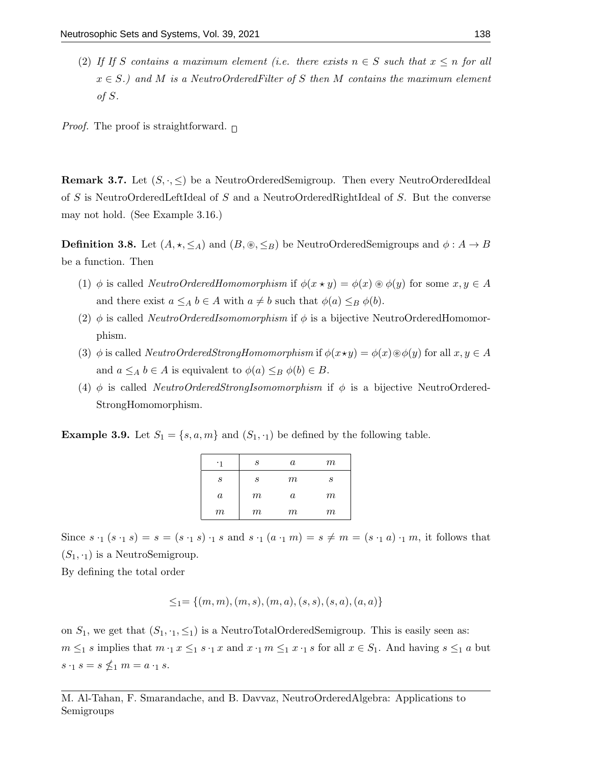(2) If If S contains a maximum element (i.e. there exists  $n \in S$  such that  $x \leq n$  for all  $x \in S$ .) and M is a NeutroOrderedFilter of S then M contains the maximum element of S.

*Proof.* The proof is straightforward.  $\Box$ 

**Remark 3.7.** Let  $(S, \cdot, \leq)$  be a NeutroOrderedSemigroup. Then every NeutroOrderedIdeal of S is NeutroOrderedLeftIdeal of S and a NeutroOrderedRightIdeal of S. But the converse may not hold. (See Example 3.16.)

**Definition 3.8.** Let  $(A, \star, \leq_A)$  and  $(B, \otimes, \leq_B)$  be NeutroOrderedSemigroups and  $\phi : A \to B$ be a function. Then

- (1)  $\phi$  is called *NeutroOrderedHomomorphism* if  $\phi(x \star y) = \phi(x) \circledast \phi(y)$  for some  $x, y \in A$ and there exist  $a \leq_A b \in A$  with  $a \neq b$  such that  $\phi(a) \leq_B \phi(b)$ .
- (2)  $\phi$  is called *NeutroOrderedIsomomorphism* if  $\phi$  is a bijective NeutroOrderedHomomorphism.
- (3) φ is called NeutroOrderedStrongHomomorphism if  $\phi(x\star y) = \phi(x)\otimes \phi(y)$  for all  $x, y \in A$ and  $a \leq_A b \in A$  is equivalent to  $\phi(a) \leq_B \phi(b) \in B$ .
- (4)  $\phi$  is called *NeutroOrderedStrongIsomomorphism* if  $\phi$  is a bijective NeutroOrdered-StrongHomomorphism.

**Example 3.9.** Let  $S_1 = \{s, a, m\}$  and  $(S_1, \cdot_1)$  be defined by the following table.

| $\cdot$ 1        | S     | $\it a$  | m     |
|------------------|-------|----------|-------|
| S                | S     | m        | S     |
| $\boldsymbol{a}$ | $\,m$ | $\alpha$ | $\,m$ |
| $\,m$            | $\,m$ | m        | $m\,$ |

Since  $s \cdot_1 (s \cdot_1 s) = s = (s \cdot_1 s) \cdot_1 s$  and  $s \cdot_1 (a \cdot_1 m) = s \neq m = (s \cdot_1 a) \cdot_1 m$ , it follows that  $(S_1, \cdot_1)$  is a NeutroSemigroup.

By defining the total order

$$
\leq_1=\{(m,m),(m,s),(m,a),(s,s),(s,a),(a,a)\}
$$

on  $S_1$ , we get that  $(S_1, \cdot_1, \leq_1)$  is a NeutroTotalOrderedSemigroup. This is easily seen as:  $m \leq_1 s$  implies that  $m \cdot_1 x \leq_1 s \cdot_1 x$  and  $x \cdot_1 m \leq_1 x \cdot_1 s$  for all  $x \in S_1$ . And having  $s \leq_1 a$  but  $s \cdot_1 s = s \nleq_1 m = a \cdot_1 s.$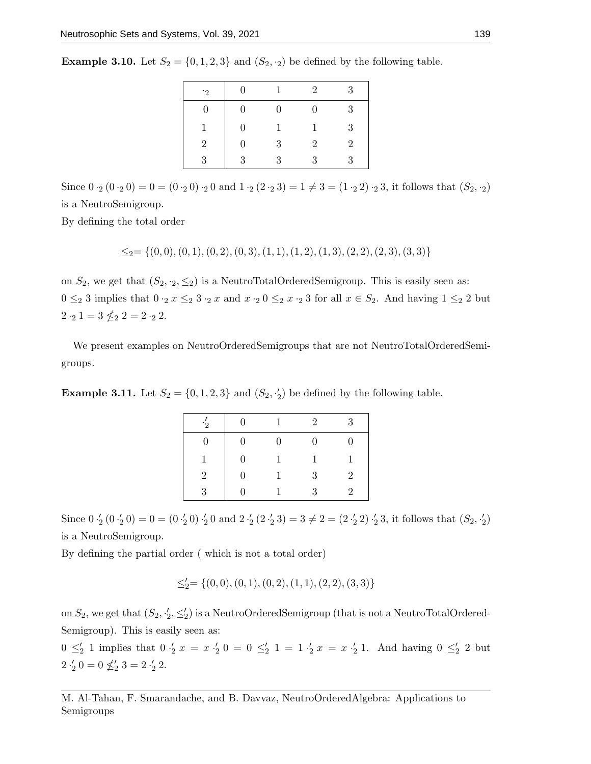| <b>Example 3.10.</b> Let $S_2 = \{0, 1, 2, 3\}$ and $(S_2, \cdot_2)$ be defined by the following table. |  |  |  |  |  |  |  |  |
|---------------------------------------------------------------------------------------------------------|--|--|--|--|--|--|--|--|
|---------------------------------------------------------------------------------------------------------|--|--|--|--|--|--|--|--|

| $\cdot$ 2 | $\Omega$ | 1.           | $\mathfrak{D}$ | 3              |
|-----------|----------|--------------|----------------|----------------|
| 0         | 0        | $^{(1)}$     | 0              | 3              |
| 1         | 0        | 1            | 1              | 3              |
| 2         | 0        | 3            | $\overline{2}$ | $\overline{2}$ |
| 3         | 3        | $\mathbf{Q}$ | ર              | J              |

Since  $0 \cdot_2 (0 \cdot_2 0) = 0 = (0 \cdot_2 0) \cdot_2 0$  and  $1 \cdot_2 (2 \cdot_2 3) = 1 \neq 3 = (1 \cdot_2 2) \cdot_2 3$ , it follows that  $(S_2, \cdot_2)$ is a NeutroSemigroup.

By defining the total order

$$
\leq_2 = \{(0,0), (0,1), (0,2), (0,3), (1,1), (1,2), (1,3), (2,2), (2,3), (3,3)\}
$$

on  $S_2$ , we get that  $(S_2, \cdot_2, \leq_2)$  is a NeutroTotalOrderedSemigroup. This is easily seen as:  $0 \leq_2 3$  implies that  $0 \cdot_2 x \leq_2 3 \cdot_2 x$  and  $x \cdot_2 0 \leq_2 x \cdot_2 3$  for all  $x \in S_2$ . And having  $1 \leq_2 2$  but  $2 \cdot_2 1 = 3 \nleq_2 2 = 2 \cdot_2 2.$ 

We present examples on NeutroOrderedSemigroups that are not NeutroTotalOrderedSemigroups.

**Example 3.11.** Let  $S_2 = \{0, 1, 2, 3\}$  and  $(S_2, \frac{1}{2})$  be defined by the following table.

| $\cdot \frac{7}{2}$ | $\overline{0}$   | $\mathbf{1}$ | 2            | 3              |
|---------------------|------------------|--------------|--------------|----------------|
| 0                   | $\overline{0}$   | 0            | 0            |                |
|                     | $\overline{0}$   | 1            | $\mathbf{1}$ |                |
| 2                   | $\boldsymbol{0}$ | 1            | 3            | $\overline{2}$ |
| ર                   | ∩                |              | 3            | 2              |

Since  $0 \cdot'_2 (0 \cdot'_2 0) = 0 = (0 \cdot'_2 0) \cdot'_2 0$  and  $2 \cdot'_2 (2 \cdot'_2 3) = 3 \neq 2 = (2 \cdot'_2 2) \cdot'_2 3$ , it follows that  $(S_2, \cdot'_2)$ is a NeutroSemigroup.

By defining the partial order ( which is not a total order)

$$
\leq_2'=\{(0,0),(0,1),(0,2),(1,1),(2,2),(3,3)\}
$$

on  $S_2$ , we get that  $(S_2, \frac{1}{2}, \leq_2')$  is a NeutroOrderedSemigroup (that is not a NeutroTotalOrdered-Semigroup). This is easily seen as:

 $0 \leq'_2 1$  implies that  $0 \leq'_2 x = x \leq'_2 0 = 0 \leq'_2 1 = 1 \leq'_2 x = x \leq'_2 1$ . And having  $0 \leq'_2 2$  but  $2 \cdot \frac{1}{2} 0 = 0 \nleq \frac{1}{2} 3 = 2 \cdot \frac{1}{2} 2.$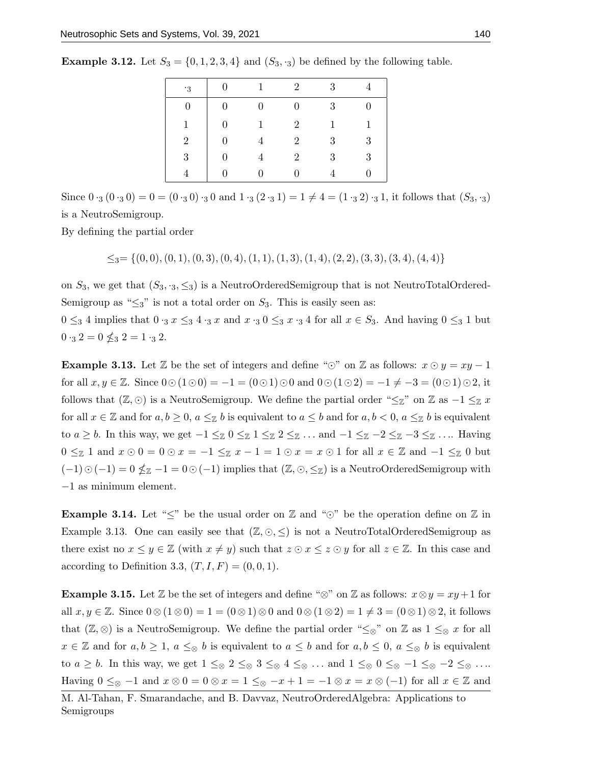| $\cdot$ 3      | $\overline{0}$   | $\overline{1}$ | $\overline{2}$ | 3            |              |
|----------------|------------------|----------------|----------------|--------------|--------------|
| $\overline{0}$ | $\boldsymbol{0}$ | $\overline{0}$ | $\overline{0}$ | 3            |              |
| 1              | $\overline{0}$   | 1              | $\overline{2}$ | $\mathbf{1}$ | $\mathbf{1}$ |
| $\overline{2}$ | $\Omega$         |                | $\overline{2}$ | 3            | 3            |
| 3              | $\Omega$         |                | $\overline{2}$ | 3            | 3            |
|                |                  |                |                |              |              |

**Example 3.12.** Let  $S_3 = \{0, 1, 2, 3, 4\}$  and  $(S_3, \cdot_3)$  be defined by the following table.

Since  $0 \cdot_3 (0 \cdot_3 0) = 0 = (0 \cdot_3 0) \cdot_3 0$  and  $1 \cdot_3 (2 \cdot_3 1) = 1 \neq 4 = (1 \cdot_3 2) \cdot_3 1$ , it follows that  $(S_3, \cdot_3)$ is a NeutroSemigroup.

By defining the partial order

 $\leq_3=\{(0,0), (0, 1), (0, 3), (0, 4), (1, 1), (1, 3), (1, 4), (2, 2), (3, 3), (3, 4), (4, 4)\}$ 

on  $S_3$ , we get that  $(S_3, \cdot_3, \leq_3)$  is a NeutroOrderedSemigroup that is not NeutroTotalOrdered-Semigroup as " $\leq_3$ " is not a total order on  $S_3$ . This is easily seen as:

 $0 \leq_3 4$  implies that  $0 \cdot_3 x \leq_3 4 \cdot_3 x$  and  $x \cdot_3 0 \leq_3 x \cdot_3 4$  for all  $x \in S_3$ . And having  $0 \leq_3 1$  but  $0 \cdot_3 2 = 0 \nleq_3 2 = 1 \cdot_3 2.$ 

**Example 3.13.** Let  $\mathbb{Z}$  be the set of integers and define " $\odot$ " on  $\mathbb{Z}$  as follows:  $x \odot y = xy - 1$ for all  $x, y \in \mathbb{Z}$ . Since  $0 \odot (1 \odot 0) = -1 = (0 \odot 1) \odot 0$  and  $0 \odot (1 \odot 2) = -1 \neq -3 = (0 \odot 1) \odot 2$ , it follows that  $(\mathbb{Z}, \odot)$  is a NeutroSemigroup. We define the partial order " $\leq_{\mathbb{Z}}$ " on  $\mathbb{Z}$  as  $-1 \leq_{\mathbb{Z}} x$ for all  $x \in \mathbb{Z}$  and for  $a, b \geq 0$ ,  $a \leq_{\mathbb{Z}} b$  is equivalent to  $a \leq b$  and for  $a, b < 0$ ,  $a \leq_{\mathbb{Z}} b$  is equivalent to  $a \geq b$ . In this way, we get  $-1 \leq \mathbb{Z} \setminus 0 \leq \mathbb{Z} \setminus 1 \leq \mathbb{Z} \leq 2 \leq \mathbb{Z} \ldots$  and  $-1 \leq \mathbb{Z} \setminus -2 \leq \mathbb{Z} \setminus -3 \leq \mathbb{Z} \ldots$  Having 0  $\leq$  1 and  $x \odot 0 = 0 \odot x = -1 \leq z \ x - 1 = 1 \odot x = x \odot 1$  for all  $x \in \mathbb{Z}$  and  $-1 \leq z \geq 0$  but  $(-1) \odot (-1) = 0 \nleq z - 1 = 0 \odot (-1)$  implies that  $(\mathbb{Z}, \odot, \leq z)$  is a NeutroOrderedSemigroup with −1 as minimum element.

**Example 3.14.** Let " $\leq$ " be the usual order on  $\mathbb{Z}$  and " $\odot$ " be the operation define on  $\mathbb{Z}$  in Example 3.13. One can easily see that  $(\mathbb{Z}, \odot, \leq)$  is not a NeutroTotalOrderedSemigroup as there exist no  $x \leq y \in \mathbb{Z}$  (with  $x \neq y$ ) such that  $z \odot x \leq z \odot y$  for all  $z \in \mathbb{Z}$ . In this case and according to Definition 3.3,  $(T, I, F) = (0, 0, 1)$ .

**Example 3.15.** Let  $\mathbb{Z}$  be the set of integers and define " $\otimes$ " on  $\mathbb{Z}$  as follows:  $x \otimes y = xy + 1$  for all  $x, y \in \mathbb{Z}$ . Since  $0 \otimes (1 \otimes 0) = 1 = (0 \otimes 1) \otimes 0$  and  $0 \otimes (1 \otimes 2) = 1 \neq 3 = (0 \otimes 1) \otimes 2$ , it follows that  $(\mathbb{Z}, \otimes)$  is a NeutroSemigroup. We define the partial order " $\leq_{\otimes}$ " on  $\mathbb{Z}$  as  $1 \leq_{\otimes} x$  for all  $x \in \mathbb{Z}$  and for  $a, b \geq 1$ ,  $a \leq_{\otimes} b$  is equivalent to  $a \leq b$  and for  $a, b \leq 0$ ,  $a \leq_{\otimes} b$  is equivalent to  $a \geq b$ . In this way, we get  $1 \leq_{\otimes} 2 \leq_{\otimes} 3 \leq_{\otimes} 4 \leq_{\otimes} \ldots$  and  $1 \leq_{\otimes} 0 \leq_{\otimes} -1 \leq_{\otimes} -2 \leq_{\otimes} \ldots$ Having  $0 \leq_{\otimes} -1$  and  $x \otimes 0 = 0 \otimes x = 1 \leq_{\otimes} -x + 1 = -1 \otimes x = x \otimes (-1)$  for all  $x \in \mathbb{Z}$  and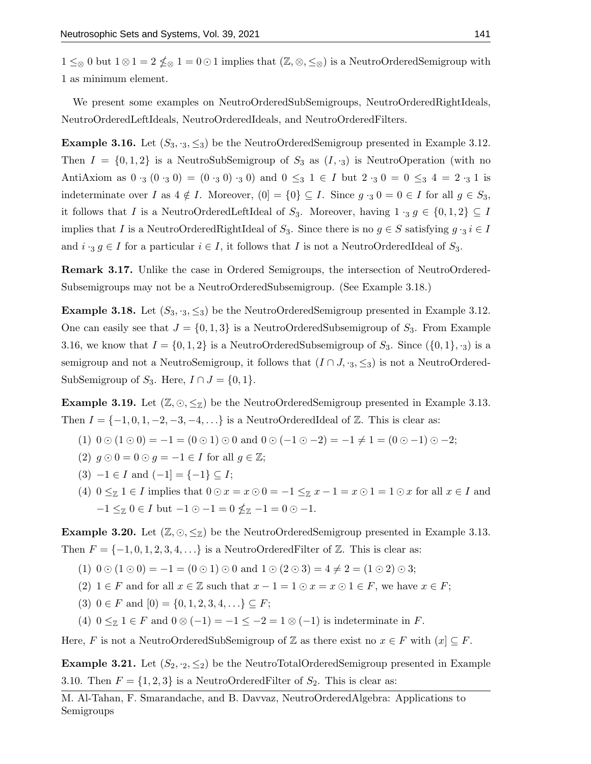$1 \leq_{\otimes} 0$  but  $1 \otimes 1 = 2 \nleq_{\otimes} 1 = 0 \odot 1$  implies that  $(\mathbb{Z}, \otimes, \leq_{\otimes})$  is a NeutroOrderedSemigroup with 1 as minimum element.

We present some examples on NeutroOrderedSubSemigroups, NeutroOrderedRightIdeals, NeutroOrderedLeftIdeals, NeutroOrderedIdeals, and NeutroOrderedFilters.

**Example 3.16.** Let  $(S_3, \cdot_3, \leq_3)$  be the NeutroOrderedSemigroup presented in Example 3.12. Then  $I = \{0, 1, 2\}$  is a NeutroSubSemigroup of  $S_3$  as  $(I, \cdot_3)$  is NeutroOperation (with no AntiAxiom as  $0 \cdot_3 (0 \cdot_3 0) = (0 \cdot_3 0) \cdot_3 0$  and  $0 \le_3 1 \in I$  but  $2 \cdot_3 0 = 0 \le_3 4 = 2 \cdot_3 1$  is indeterminate over I as  $4 \notin I$ . Moreover,  $(0] = \{0\} \subseteq I$ . Since  $g \cdot_3 0 = 0 \in I$  for all  $g \in S_3$ , it follows that I is a NeutroOrderedLeftIdeal of  $S_3$ . Moreover, having  $1 \cdot_3 g \in \{0,1,2\} \subseteq I$ implies that I is a NeutroOrderedRightIdeal of  $S_3$ . Since there is no  $g \in S$  satisfying  $g \cdot_3 i \in I$ and  $i \cdot_3 g \in I$  for a particular  $i \in I$ , it follows that I is not a NeutroOrderedIdeal of  $S_3$ .

Remark 3.17. Unlike the case in Ordered Semigroups, the intersection of NeutroOrdered-Subsemigroups may not be a NeutroOrderedSubsemigroup. (See Example 3.18.)

**Example 3.18.** Let  $(S_3, \cdot_3, \leq_3)$  be the NeutroOrderedSemigroup presented in Example 3.12. One can easily see that  $J = \{0, 1, 3\}$  is a NeutroOrderedSubsemigroup of  $S_3$ . From Example 3.16, we know that  $I = \{0, 1, 2\}$  is a NeutroOrderedSubsemigroup of  $S_3$ . Since  $(\{0, 1\}, \cdot_3)$  is a semigroup and not a NeutroSemigroup, it follows that  $(I \cap J, \cdot_3, \leq_3)$  is not a NeutroOrdered-SubSemigroup of  $S_3$ . Here,  $I \cap J = \{0,1\}$ .

**Example 3.19.** Let  $(\mathbb{Z}, \odot, \leq_{\mathbb{Z}})$  be the NeutroOrderedSemigroup presented in Example 3.13. Then  $I = \{-1, 0, 1, -2, -3, -4, \ldots\}$  is a NeutroOrderedIdeal of Z. This is clear as:

- (1)  $0 \odot (1 \odot 0) = -1 = (0 \odot 1) \odot 0$  and  $0 \odot (-1 \odot -2) = -1 \neq 1 = (0 \odot -1) \odot -2;$
- (2)  $q \odot 0 = 0 \odot q = -1 \in I$  for all  $q \in \mathbb{Z}$ ;
- $(3) -1 \in I$  and  $(-1) = \{-1\} \subseteq I$ ;
- (4)  $0 \leq \mathbb{Z} 1 \in I$  implies that  $0 \odot x = x \odot 0 = -1 \leq \mathbb{Z} x 1 = x \odot 1 = 1 \odot x$  for all  $x \in I$  and  $-1 \leq z \ 0 \in I$  but  $-1 \odot -1 = 0 \nleq z \ -1 = 0 \odot -1.$

**Example 3.20.** Let  $(\mathbb{Z}, \odot, \leq_{\mathbb{Z}})$  be the NeutroOrderedSemigroup presented in Example 3.13. Then  $F = \{-1, 0, 1, 2, 3, 4, \ldots\}$  is a NeutroOrderedFilter of  $\mathbb{Z}$ . This is clear as:

(1)  $0 \odot (1 \odot 0) = -1 = (0 \odot 1) \odot 0$  and  $1 \odot (2 \odot 3) = 4 \neq 2 = (1 \odot 2) \odot 3$ ;

- (2)  $1 \in F$  and for all  $x \in \mathbb{Z}$  such that  $x 1 = 1 \odot x = x \odot 1 \in F$ , we have  $x \in F$ ;
- (3)  $0 \in F$  and  $[0] = \{0, 1, 2, 3, 4, \ldots\} \subseteq F;$

(4)  $0 \leq \mathbb{Z}$  1 ∈ F and  $0 \otimes (-1) = -1 \leq -2 = 1 \otimes (-1)$  is indeterminate in F.

Here, F is not a NeutroOrderedSubSemigroup of Z as there exist no  $x \in F$  with  $(x) \subseteq F$ .

**Example 3.21.** Let  $(S_2, S_2)$  be the NeutroTotalOrderedSemigroup presented in Example 3.10. Then  $F = \{1, 2, 3\}$  is a NeutroOrderedFilter of  $S_2$ . This is clear as: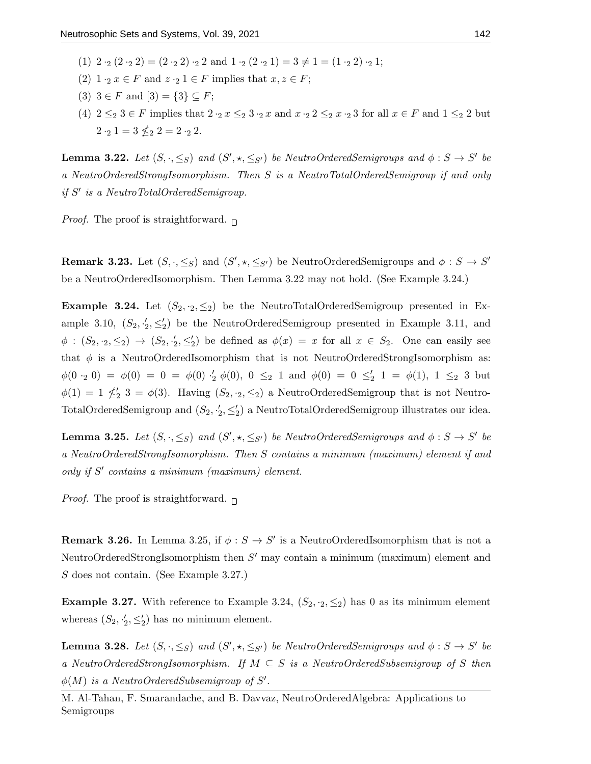- (1)  $2 \cdot_2 (2 \cdot_2 2) = (2 \cdot_2 2) \cdot_2 2$  and  $1 \cdot_2 (2 \cdot_2 1) = 3 \neq 1 = (1 \cdot_2 2) \cdot_2 1$ ;
- (2)  $1 \cdot_2 x \in F$  and  $z \cdot_2 1 \in F$  implies that  $x, z \in F$ ;
- (3)  $3 \in F$  and  $[3] = \{3\} \subseteq F$ ;
- (4)  $2 \leq_2 3 \in F$  implies that  $2 \cdot_2 x \leq_2 3 \cdot_2 x$  and  $x \cdot_2 2 \leq_2 x \cdot_2 3$  for all  $x \in F$  and  $1 \leq_2 2$  but  $2 \cdot_2 1 = 3 \nleq_2 2 = 2 \cdot_2 2.$

**Lemma 3.22.** Let  $(S, \cdot, \leq_S)$  and  $(S', \star, \leq_{S'})$  be NeutroOrderedSemigroups and  $\phi : S \to S'$  be a NeutroOrderedStrongIsomorphism. Then S is a NeutroTotalOrderedSemigroup if and only if S' is a NeutroTotalOrderedSemigroup.

*Proof.* The proof is straightforward.  $\Box$ 

**Remark 3.23.** Let  $(S, \cdot, \leq_S)$  and  $(S', \star, \leq_{S'})$  be NeutroOrderedSemigroups and  $\phi : S \to S'$ be a NeutroOrderedIsomorphism. Then Lemma 3.22 may not hold. (See Example 3.24.)

**Example 3.24.** Let  $(S_2, S_2)$  be the NeutroTotalOrderedSemigroup presented in Example 3.10,  $(S_2, \frac{1}{2}, \leq_2')$  be the NeutroOrderedSemigroup presented in Example 3.11, and  $\phi : (S_2, S_2) \to (S_2, S_2)$  be defined as  $\phi(x) = x$  for all  $x \in S_2$ . One can easily see that  $\phi$  is a NeutroOrderedIsomorphism that is not NeutroOrderedStrongIsomorphism as:  $\phi(0, 0) = \phi(0) = 0 = \phi(0) \cdot'_2 \phi(0), 0 \leq_2 1$  and  $\phi(0) = 0 \leq'_2 1 = \phi(1), 1 \leq_2 3$  but  $\phi(1) = 1 \nleq_2' 3 = \phi(3)$ . Having  $(S_2, \cdot_2, \leq_2)$  a NeutroOrderedSemigroup that is not Neutro-TotalOrderedSemigroup and  $(S_2, Y_2, \leq_2')$  a NeutroTotalOrderedSemigroup illustrates our idea.

**Lemma 3.25.** Let  $(S, \cdot, \leq_S)$  and  $(S', \star, \leq_{S'})$  be NeutroOrderedSemigroups and  $\phi : S \to S'$  be a NeutroOrderedStrongIsomorphism. Then S contains a minimum (maximum) element if and only if S' contains a minimum (maximum) element.

*Proof.* The proof is straightforward.  $\Box$ 

**Remark 3.26.** In Lemma 3.25, if  $\phi : S \to S'$  is a NeutroOrderedIsomorphism that is not a NeutroOrderedStrongIsomorphism then  $S'$  may contain a minimum (maximum) element and S does not contain. (See Example 3.27.)

**Example 3.27.** With reference to Example 3.24,  $(S_2, \cdot_2, \leq_2)$  has 0 as its minimum element whereas  $(S_2, \frac{1}{2}, \leq_2')$  has no minimum element.

**Lemma 3.28.** Let  $(S, \cdot, \leq_S)$  and  $(S', \star, \leq_{S'})$  be NeutroOrderedSemigroups and  $\phi : S \to S'$  be a NeutroOrderedStrongIsomorphism. If  $M \subseteq S$  is a NeutroOrderedSubsemigroup of S then  $\phi(M)$  is a NeutroOrderedSubsemigroup of S'.

M. Al-Tahan, F. Smarandache, and B. Davvaz, NeutroOrderedAlgebra: Applications to Semigroups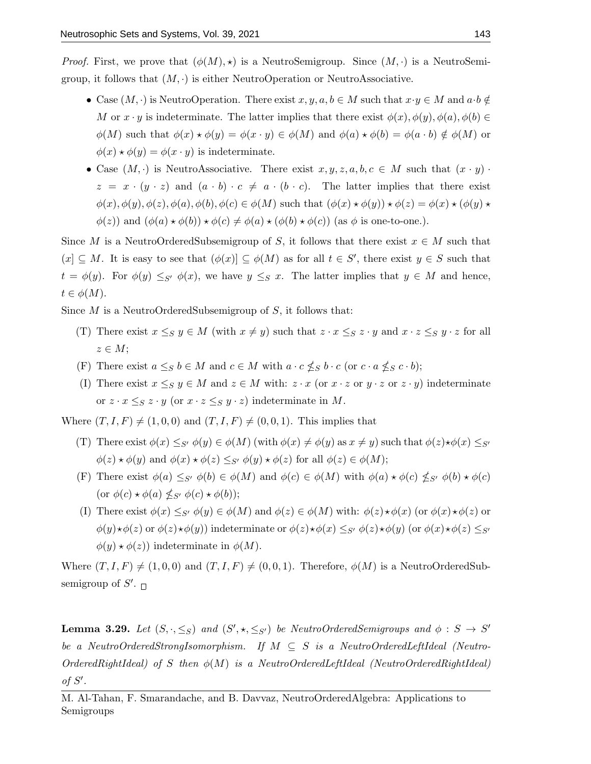*Proof.* First, we prove that  $(\phi(M), \star)$  is a NeutroSemigroup. Since  $(M, \cdot)$  is a NeutroSemigroup, it follows that  $(M, \cdot)$  is either NeutroOperation or NeutroAssociative.

- Case  $(M, \cdot)$  is NeutroOperation. There exist  $x, y, a, b \in M$  such that  $x \cdot y \in M$  and  $a \cdot b \notin$ M or  $x \cdot y$  is indeterminate. The latter implies that there exist  $\phi(x), \phi(y), \phi(a), \phi(b) \in$  $\phi(M)$  such that  $\phi(x) \star \phi(y) = \phi(x \cdot y) \in \phi(M)$  and  $\phi(a) \star \phi(b) = \phi(a \cdot b) \notin \phi(M)$  or  $\phi(x) \star \phi(y) = \phi(x \cdot y)$  is indeterminate.
- Case  $(M, \cdot)$  is NeutroAssociative. There exist  $x, y, z, a, b, c \in M$  such that  $(x \cdot y)$ .  $z = x \cdot (y \cdot z)$  and  $(a \cdot b) \cdot c \neq a \cdot (b \cdot c)$ . The latter implies that there exist  $\phi(x), \phi(y), \phi(z), \phi(a), \phi(b), \phi(c) \in \phi(M)$  such that  $(\phi(x) \star \phi(y)) \star \phi(z) = \phi(x) \star (\phi(y) \star$  $\phi(z)$ ) and  $(\phi(a) \star \phi(b)) \star \phi(c) \neq \phi(a) \star (\phi(b) \star \phi(c))$  (as  $\phi$  is one-to-one.).

Since M is a NeutroOrderedSubsemigroup of S, it follows that there exist  $x \in M$  such that  $(x) \subseteq M$ . It is easy to see that  $(\phi(x)) \subseteq \phi(M)$  as for all  $t \in S'$ , there exist  $y \in S$  such that  $t = \phi(y)$ . For  $\phi(y) \leq_{S'} \phi(x)$ , we have  $y \leq_{S'} x$ . The latter implies that  $y \in M$  and hence,  $t \in \phi(M)$ .

Since  $M$  is a NeutroOrderedSubsemigroup of  $S$ , it follows that:

- (T) There exist  $x \leq_S y \in M$  (with  $x \neq y$ ) such that  $z \cdot x \leq_S z \cdot y$  and  $x \cdot z \leq_S y \cdot z$  for all  $z \in M$ ;
- (F) There exist  $a \leq_S b \in M$  and  $c \in M$  with  $a \cdot c \nleq_S b \cdot c$  (or  $c \cdot a \nleq_S c \cdot b$ );
- (I) There exist  $x \leq_S y \in M$  and  $z \in M$  with:  $z \cdot x$  (or  $x \cdot z$  or  $y \cdot z$  or  $z \cdot y$ ) indeterminate or  $z \cdot x \leq_S z \cdot y$  (or  $x \cdot z \leq_S y \cdot z$ ) indeterminate in M.

Where  $(T, I, F) \neq (1, 0, 0)$  and  $(T, I, F) \neq (0, 0, 1)$ . This implies that

- (T) There exist  $\phi(x) \leq_{S'} \phi(y) \in \phi(M)$  (with  $\phi(x) \neq \phi(y)$  as  $x \neq y$ ) such that  $\phi(z) \star \phi(x) \leq_{S'}$  $\phi(z) \star \phi(y)$  and  $\phi(x) \star \phi(z) \leq_{S'} \phi(y) \star \phi(z)$  for all  $\phi(z) \in \phi(M);$
- (F) There exist  $\phi(a) \leq_{S'} \phi(b) \in \phi(M)$  and  $\phi(c) \in \phi(M)$  with  $\phi(a) \star \phi(c) \nleq_{S'} \phi(b) \star \phi(c)$ (or  $\phi(c) \star \phi(a) \nleq_{S'} \phi(c) \star \phi(b)$ );
- (I) There exist  $\phi(x) \leq_{S'} \phi(y) \in \phi(M)$  and  $\phi(z) \in \phi(M)$  with:  $\phi(z) \star \phi(x)$  (or  $\phi(x) \star \phi(z)$  or  $\phi(y)\star\phi(z)$  or  $\phi(z)\star\phi(y)$ ) indeterminate or  $\phi(z)\star\phi(x) \leq_{S'} \phi(z)\star\phi(y)$  (or  $\phi(x)\star\phi(z) \leq_{S'}$  $\phi(y) \star \phi(z)$  indeterminate in  $\phi(M)$ .

Where  $(T, I, F) \neq (1, 0, 0)$  and  $(T, I, F) \neq (0, 0, 1)$ . Therefore,  $\phi(M)$  is a NeutroOrderedSubsemigroup of  $S'$ .

**Lemma 3.29.** Let  $(S, \cdot, \leq_S)$  and  $(S', \star, \leq_{S'})$  be NeutroOrderedSemigroups and  $\phi : S \to S'$ be a NeutroOrderedStrongIsomorphism. If  $M \subseteq S$  is a NeutroOrderedLeftIdeal (Neutro- $OrderedRightIdeal)$  of S then  $\phi(M)$  is a NeutroOrderedLeftIdeal (NeutroOrderedRightIdeal) of  $S'$ .

M. Al-Tahan, F. Smarandache, and B. Davvaz, NeutroOrderedAlgebra: Applications to Semigroups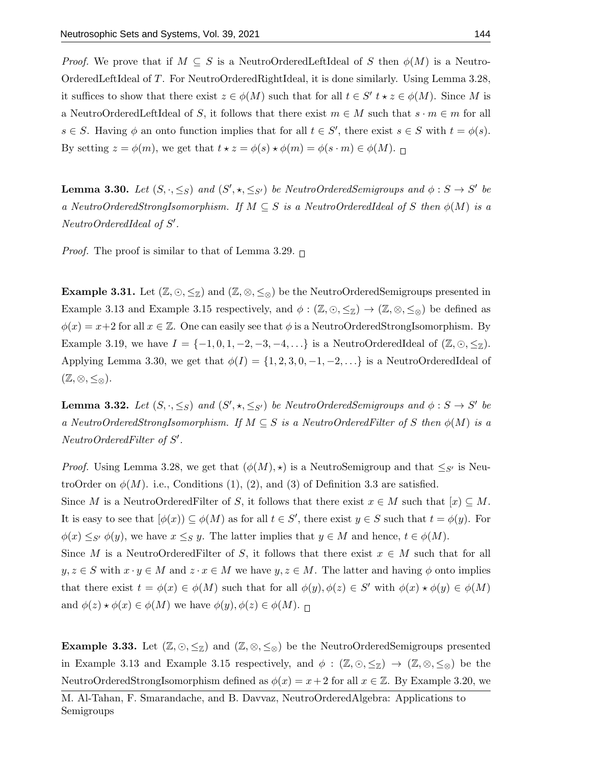*Proof.* We prove that if  $M \subseteq S$  is a Neutro-OrderedLeftIdeal of S then  $\phi(M)$  is a Neutro-OrderedLeftIdeal of T. For NeutroOrderedRightIdeal, it is done similarly. Using Lemma 3.28, it suffices to show that there exist  $z \in \phi(M)$  such that for all  $t \in S'$   $t \star z \in \phi(M)$ . Since M is a NeutroOrderedLeftIdeal of S, it follows that there exist  $m \in M$  such that  $s \cdot m \in m$  for all  $s \in S$ . Having  $\phi$  an onto function implies that for all  $t \in S'$ , there exist  $s \in S$  with  $t = \phi(s)$ . By setting  $z = \phi(m)$ , we get that  $t \star z = \phi(s) \star \phi(m) = \phi(s \cdot m) \in \phi(M)$ .

**Lemma 3.30.** Let  $(S, \cdot, \leq_S)$  and  $(S', \star, \leq_{S'})$  be NeutroOrderedSemigroups and  $\phi : S \to S'$  be a NeutroOrderedStrongIsomorphism. If  $M \subseteq S$  is a NeutroOrderedIdeal of S then  $\phi(M)$  is a NeutroOrderedIdeal of S'.

*Proof.* The proof is similar to that of Lemma 3.29.  $\Box$ 

**Example 3.31.** Let  $(\mathbb{Z}, \odot, \leq_{\mathbb{Z}})$  and  $(\mathbb{Z}, \otimes, \leq_{\otimes})$  be the NeutroOrderedSemigroups presented in Example 3.13 and Example 3.15 respectively, and  $\phi : (\mathbb{Z}, \odot, \leq_{\mathbb{Z}}) \to (\mathbb{Z}, \otimes, \leq_{\otimes})$  be defined as  $\phi(x) = x+2$  for all  $x \in \mathbb{Z}$ . One can easily see that  $\phi$  is a NeutroOrderedStrongIsomorphism. By Example 3.19, we have  $I = \{-1, 0, 1, -2, -3, -4, \ldots\}$  is a NeutroOrderedIdeal of  $(\mathbb{Z}, \odot, \leq_{\mathbb{Z}})$ . Applying Lemma 3.30, we get that  $\phi(I) = \{1, 2, 3, 0, -1, -2, \ldots\}$  is a NeutroOrderedIdeal of  $(\mathbb{Z},\otimes,\leq_{\otimes}).$ 

**Lemma 3.32.** Let  $(S, \cdot, \leq_S)$  and  $(S', \star, \leq_{S'})$  be NeutroOrderedSemigroups and  $\phi : S \to S'$  be a NeutroOrderedStrongIsomorphism. If  $M \subseteq S$  is a NeutroOrderedFilter of S then  $\phi(M)$  is a NeutroOrderedFilter of S'.

*Proof.* Using Lemma 3.28, we get that  $(\phi(M), \star)$  is a NeutroSemigroup and that  $\leq_{S'}$  is NeutroOrder on  $\phi(M)$ . i.e., Conditions (1), (2), and (3) of Definition 3.3 are satisfied. Since M is a NeutroOrderedFilter of S, it follows that there exist  $x \in M$  such that  $[x] \subseteq M$ . It is easy to see that  $[\phi(x)) \subseteq \phi(M)$  as for all  $t \in S'$ , there exist  $y \in S$  such that  $t = \phi(y)$ . For  $\phi(x) \leq_{S'} \phi(y)$ , we have  $x \leq_{S} y$ . The latter implies that  $y \in M$  and hence,  $t \in \phi(M)$ . Since M is a NeutroOrderedFilter of S, it follows that there exist  $x \in M$  such that for all  $y, z \in S$  with  $x \cdot y \in M$  and  $z \cdot x \in M$  we have  $y, z \in M$ . The latter and having  $\phi$  onto implies that there exist  $t = \phi(x) \in \phi(M)$  such that for all  $\phi(y), \phi(z) \in S'$  with  $\phi(x) \star \phi(y) \in \phi(M)$ and  $\phi(z) \star \phi(x) \in \phi(M)$  we have  $\phi(y), \phi(z) \in \phi(M)$ .

**Example 3.33.** Let  $(\mathbb{Z}, \odot, \leq_{\mathbb{Z}})$  and  $(\mathbb{Z}, \otimes, \leq_{\otimes})$  be the NeutroOrderedSemigroups presented in Example 3.13 and Example 3.15 respectively, and  $\phi : (\mathbb{Z}, \odot, \leq_{\mathbb{Z}}) \to (\mathbb{Z}, \otimes, \leq_{\otimes})$  be the NeutroOrderedStrongIsomorphism defined as  $\phi(x) = x + 2$  for all  $x \in \mathbb{Z}$ . By Example 3.20, we

M. Al-Tahan, F. Smarandache, and B. Davvaz, NeutroOrderedAlgebra: Applications to Semigroups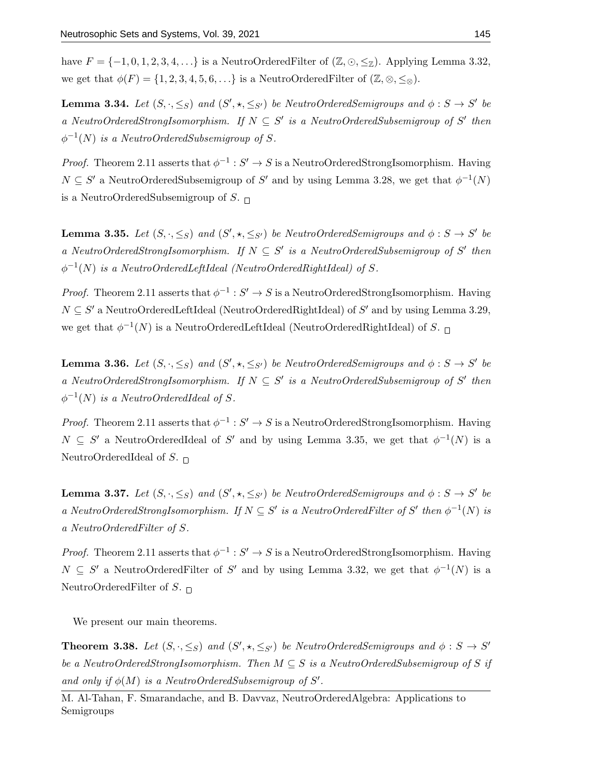have  $F = \{-1, 0, 1, 2, 3, 4, \ldots\}$  is a NeutroOrderedFilter of  $(\mathbb{Z}, \odot, \leq_{\mathbb{Z}})$ . Applying Lemma 3.32, we get that  $\phi(F) = \{1, 2, 3, 4, 5, 6, \ldots\}$  is a NeutroOrderedFilter of  $(\mathbb{Z}, \otimes, \leq_{\otimes}).$ 

**Lemma 3.34.** Let  $(S, \cdot, \leq_S)$  and  $(S', \star, \leq_{S'})$  be NeutroOrderedSemigroups and  $\phi : S \to S'$  be a NeutroOrderedStrongIsomorphism. If  $N \subseteq S'$  is a NeutroOrderedSubsemigroup of S' then  $\phi^{-1}(N)$  is a NeutroOrderedSubsemigroup of S.

*Proof.* Theorem 2.11 asserts that  $\phi^{-1}: S' \to S$  is a NeutroOrderedStrongIsomorphism. Having  $N \subseteq S'$  a NeutroOrderedSubsemigroup of S' and by using Lemma 3.28, we get that  $\phi^{-1}(N)$ is a NeutroOrderedSubsemigroup of S.  $\Box$ 

**Lemma 3.35.** Let  $(S, \cdot, \leq_S)$  and  $(S', \star, \leq_{S'})$  be NeutroOrderedSemigroups and  $\phi : S \to S'$  be a NeutroOrderedStrongIsomorphism. If  $N \subseteq S'$  is a NeutroOrderedSubsemigroup of S' then  $\phi^{-1}(N)$  is a NeutroOrderedLeftIdeal (NeutroOrderedRightIdeal) of S.

*Proof.* Theorem 2.11 asserts that  $\phi^{-1}: S' \to S$  is a NeutroOrderedStrongIsomorphism. Having  $N \subseteq S'$  a NeutroOrderedLeftIdeal (NeutroOrderedRightIdeal) of S' and by using Lemma 3.29, we get that  $\phi^{-1}(N)$  is a NeutroOrderedLeftIdeal (NeutroOrderedRightIdeal) of S.

**Lemma 3.36.** Let  $(S, \cdot, \leq_S)$  and  $(S', \star, \leq_{S'})$  be NeutroOrderedSemigroups and  $\phi : S \to S'$  be a NeutroOrderedStrongIsomorphism. If  $N \subseteq S'$  is a NeutroOrderedSubsemigroup of S' then  $\phi^{-1}(N)$  is a NeutroOrderedIdeal of S.

*Proof.* Theorem 2.11 asserts that  $\phi^{-1}: S' \to S$  is a NeutroOrderedStrongIsomorphism. Having  $N \subseteq S'$  a NeutroOrderedIdeal of S' and by using Lemma 3.35, we get that  $\phi^{-1}(N)$  is a NeutroOrderedIdeal of S.  $\Box$ 

**Lemma 3.37.** Let  $(S, \cdot, \leq_S)$  and  $(S', \star, \leq_{S'})$  be NeutroOrderedSemigroups and  $\phi : S \to S'$  be a NeutroOrderedStrongIsomorphism. If  $N \subseteq S'$  is a NeutroOrderedFilter of S' then  $\phi^{-1}(N)$  is a NeutroOrderedFilter of S.

*Proof.* Theorem 2.11 asserts that  $\phi^{-1}: S' \to S$  is a NeutroOrderedStrongIsomorphism. Having  $N \subseteq S'$  a NeutroOrderedFilter of S' and by using Lemma 3.32, we get that  $\phi^{-1}(N)$  is a NeutroOrderedFilter of S.  $\Box$ 

We present our main theorems.

**Theorem 3.38.** Let  $(S, \cdot, \leq_S)$  and  $(S', \star, \leq_{S'})$  be NeutroOrderedSemigroups and  $\phi : S \to S'$ be a NeutroOrderedStrongIsomorphism. Then  $M \subseteq S$  is a NeutroOrderedSubsemigroup of S if and only if  $\phi(M)$  is a NeutroOrderedSubsemigroup of S'.

M. Al-Tahan, F. Smarandache, and B. Davvaz, NeutroOrderedAlgebra: Applications to Semigroups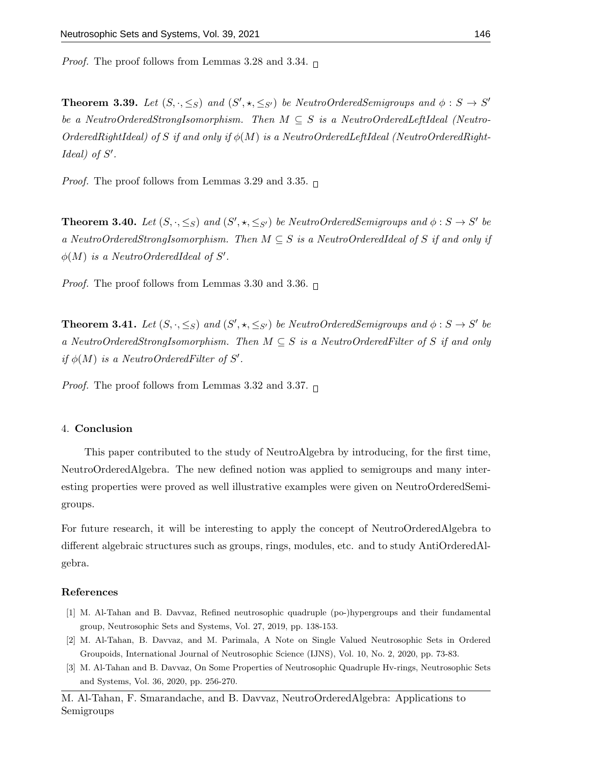*Proof.* The proof follows from Lemmas 3.28 and 3.34.  $\Box$ 

**Theorem 3.39.** Let  $(S, \cdot, \leq_S)$  and  $(S', \star, \leq_{S'})$  be NeutroOrderedSemigroups and  $\phi : S \to S'$ be a NeutroOrderedStrongIsomorphism. Then  $M \subseteq S$  is a NeutroOrderedLeftIdeal (Neutro-OrderedRightIdeal) of S if and only if  $\phi(M)$  is a NeutroOrderedLeftIdeal (NeutroOrderedRight- $Ideal)$  of  $S'$ .

*Proof.* The proof follows from Lemmas 3.29 and 3.35.  $\Box$ 

**Theorem 3.40.** Let  $(S, \cdot, \leq_S)$  and  $(S', \star, \leq_{S'})$  be NeutroOrderedSemigroups and  $\phi : S \to S'$  be a NeutroOrderedStrongIsomorphism. Then  $M \subseteq S$  is a NeutroOrderedIdeal of S if and only if  $\phi(M)$  is a NeutroOrderedIdeal of S'.

*Proof.* The proof follows from Lemmas 3.30 and 3.36.  $\Box$ 

**Theorem 3.41.** Let  $(S, \cdot, \leq_S)$  and  $(S', \star, \leq_{S'})$  be NeutroOrderedSemigroups and  $\phi : S \to S'$  be a NeutroOrderedStrongIsomorphism. Then  $M \subseteq S$  is a NeutroOrderedFilter of S if and only if  $\phi(M)$  is a NeutroOrderedFilter of S'.

*Proof.* The proof follows from Lemmas 3.32 and 3.37.  $\Box$ 

### 4. Conclusion

This paper contributed to the study of NeutroAlgebra by introducing, for the first time, NeutroOrderedAlgebra. The new defined notion was applied to semigroups and many interesting properties were proved as well illustrative examples were given on NeutroOrderedSemigroups.

For future research, it will be interesting to apply the concept of NeutroOrderedAlgebra to different algebraic structures such as groups, rings, modules, etc. and to study AntiOrderedAlgebra.

#### References

- [1] M. Al-Tahan and B. Davvaz, Refined neutrosophic quadruple (po-)hypergroups and their fundamental group, Neutrosophic Sets and Systems, Vol. 27, 2019, pp. 138-153.
- [2] M. Al-Tahan, B. Davvaz, and M. Parimala, A Note on Single Valued Neutrosophic Sets in Ordered Groupoids, International Journal of Neutrosophic Science (IJNS), Vol. 10, No. 2, 2020, pp. 73-83.
- [3] M. Al-Tahan and B. Davvaz, On Some Properties of Neutrosophic Quadruple Hv-rings, Neutrosophic Sets and Systems, Vol. 36, 2020, pp. 256-270.